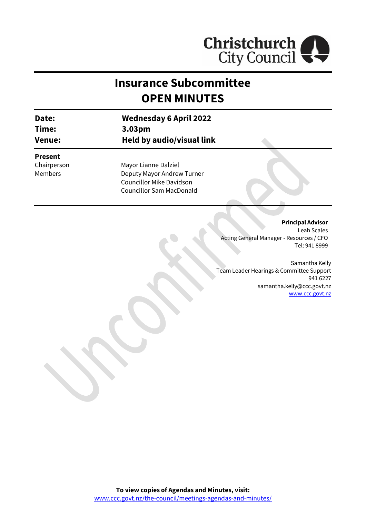

# **Insurance Subcommittee OPEN MINUTES**

| Date:  | <b>Wednesday 6 April 2022</b> |
|--------|-------------------------------|
| Time:  | 3.03 <sub>pm</sub>            |
| Venue: | Held by audio/visual link     |

### **Present**

Chairperson Members

Mayor Lianne Dalziel Deputy Mayor Andrew Turner Councillor Mike Davidson Councillor Sam MacDonald

#### **Principal Advisor**

Leah Scales Acting General Manager - Resources / CFO Tel: 941 8999

Samantha Kelly Team Leader Hearings & Committee Support 941 6227 samantha.kelly@ccc.govt.nz [www.ccc.govt.nz](http://www.ccc.govt.nz/)